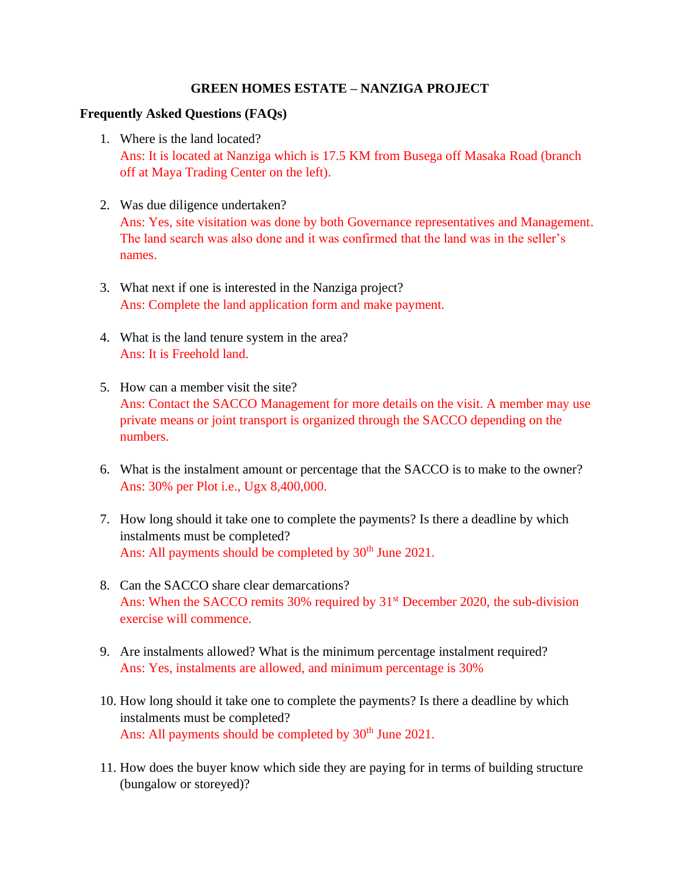## **GREEN HOMES ESTATE – NANZIGA PROJECT**

## **Frequently Asked Questions (FAQs)**

- 1. Where is the land located? Ans: It is located at Nanziga which is 17.5 KM from Busega off Masaka Road (branch off at Maya Trading Center on the left).
- 2. Was due diligence undertaken? Ans: Yes, site visitation was done by both Governance representatives and Management. The land search was also done and it was confirmed that the land was in the seller's names.
- 3. What next if one is interested in the Nanziga project? Ans: Complete the land application form and make payment.
- 4. What is the land tenure system in the area? Ans: It is Freehold land.
- 5. How can a member visit the site? Ans: Contact the SACCO Management for more details on the visit. A member may use private means or joint transport is organized through the SACCO depending on the numbers.
- 6. What is the instalment amount or percentage that the SACCO is to make to the owner? Ans: 30% per Plot i.e., Ugx 8,400,000.
- 7. How long should it take one to complete the payments? Is there a deadline by which instalments must be completed? Ans: All payments should be completed by 30<sup>th</sup> June 2021.
- 8. Can the SACCO share clear demarcations? Ans: When the SACCO remits 30% required by  $31<sup>st</sup>$  December 2020, the sub-division exercise will commence.
- 9. Are instalments allowed? What is the minimum percentage instalment required? Ans: Yes, instalments are allowed, and minimum percentage is 30%
- 10. How long should it take one to complete the payments? Is there a deadline by which instalments must be completed? Ans: All payments should be completed by 30<sup>th</sup> June 2021.
- 11. How does the buyer know which side they are paying for in terms of building structure (bungalow or storeyed)?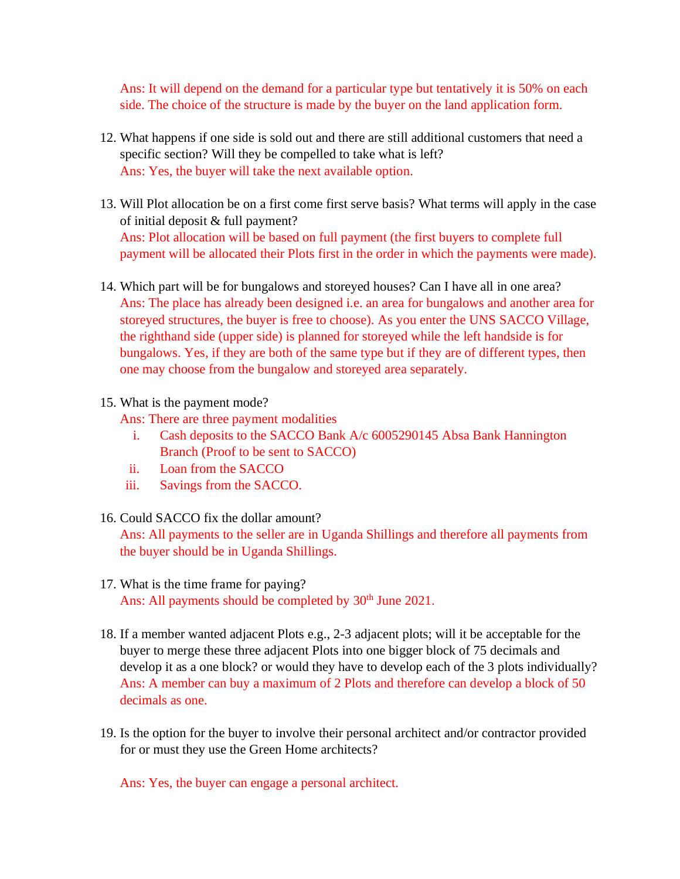Ans: It will depend on the demand for a particular type but tentatively it is 50% on each side. The choice of the structure is made by the buyer on the land application form.

- 12. What happens if one side is sold out and there are still additional customers that need a specific section? Will they be compelled to take what is left? Ans: Yes, the buyer will take the next available option.
- 13. Will Plot allocation be on a first come first serve basis? What terms will apply in the case of initial deposit & full payment? Ans: Plot allocation will be based on full payment (the first buyers to complete full payment will be allocated their Plots first in the order in which the payments were made).
- 14. Which part will be for bungalows and storeyed houses? Can I have all in one area? Ans: The place has already been designed i.e. an area for bungalows and another area for storeyed structures, the buyer is free to choose). As you enter the UNS SACCO Village, the righthand side (upper side) is planned for storeyed while the left handside is for bungalows. Yes, if they are both of the same type but if they are of different types, then one may choose from the bungalow and storeyed area separately.
- 15. What is the payment mode?
	- Ans: There are three payment modalities
		- i. Cash deposits to the SACCO Bank A/c 6005290145 Absa Bank Hannington Branch (Proof to be sent to SACCO)
		- ii. Loan from the SACCO
	- iii. Savings from the SACCO.
- 16. Could SACCO fix the dollar amount?

Ans: All payments to the seller are in Uganda Shillings and therefore all payments from the buyer should be in Uganda Shillings.

- 17. What is the time frame for paying? Ans: All payments should be completed by  $30<sup>th</sup>$  June 2021.
- 18. If a member wanted adjacent Plots e.g., 2-3 adjacent plots; will it be acceptable for the buyer to merge these three adjacent Plots into one bigger block of 75 decimals and develop it as a one block? or would they have to develop each of the 3 plots individually? Ans: A member can buy a maximum of 2 Plots and therefore can develop a block of 50 decimals as one.
- 19. Is the option for the buyer to involve their personal architect and/or contractor provided for or must they use the Green Home architects?

Ans: Yes, the buyer can engage a personal architect.